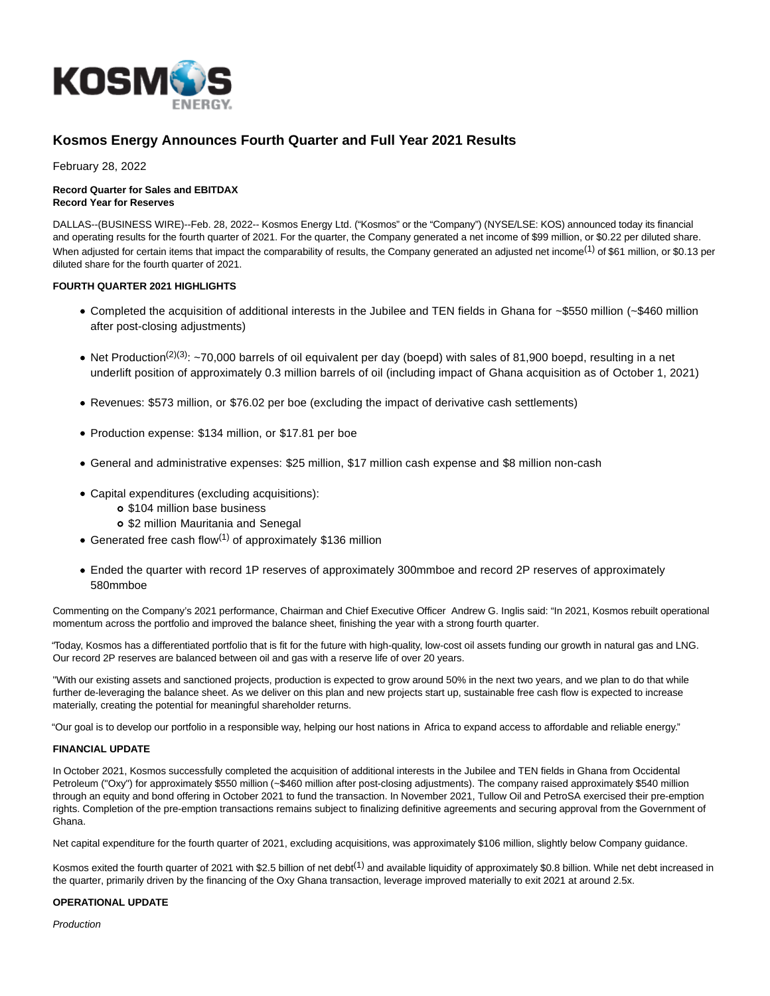

# **Kosmos Energy Announces Fourth Quarter and Full Year 2021 Results**

February 28, 2022

# **Record Quarter for Sales and EBITDAX Record Year for Reserves**

DALLAS--(BUSINESS WIRE)--Feb. 28, 2022-- Kosmos Energy Ltd. ("Kosmos" or the "Company") (NYSE/LSE: KOS) announced today its financial and operating results for the fourth quarter of 2021. For the quarter, the Company generated a net income of \$99 million, or \$0.22 per diluted share. When adjusted for certain items that impact the comparability of results, the Company generated an adjusted net income<sup>(1)</sup> of \$61 million, or \$0.13 per diluted share for the fourth quarter of 2021.

# **FOURTH QUARTER 2021 HIGHLIGHTS**

- Completed the acquisition of additional interests in the Jubilee and TEN fields in Ghana for ~\$550 million (~\$460 million after post-closing adjustments)
- Net Production<sup>(2)(3)</sup>: ~70,000 barrels of oil equivalent per day (boepd) with sales of 81,900 boepd, resulting in a net underlift position of approximately 0.3 million barrels of oil (including impact of Ghana acquisition as of October 1, 2021)
- Revenues: \$573 million, or \$76.02 per boe (excluding the impact of derivative cash settlements)
- Production expense: \$134 million, or \$17.81 per boe
- General and administrative expenses: \$25 million, \$17 million cash expense and \$8 million non-cash
- Capital expenditures (excluding acquisitions):
	- o \$104 million base business
	- o \$2 million Mauritania and Senegal
- Generated free cash flow<sup>(1)</sup> of approximately \$136 million
- Ended the quarter with record 1P reserves of approximately 300mmboe and record 2P reserves of approximately 580mmboe

Commenting on the Company's 2021 performance, Chairman and Chief Executive Officer Andrew G. Inglis said: "In 2021, Kosmos rebuilt operational momentum across the portfolio and improved the balance sheet, finishing the year with a strong fourth quarter.

"Today, Kosmos has a differentiated portfolio that is fit for the future with high-quality, low-cost oil assets funding our growth in natural gas and LNG. Our record 2P reserves are balanced between oil and gas with a reserve life of over 20 years.

"With our existing assets and sanctioned projects, production is expected to grow around 50% in the next two years, and we plan to do that while further de-leveraging the balance sheet. As we deliver on this plan and new projects start up, sustainable free cash flow is expected to increase materially, creating the potential for meaningful shareholder returns.

"Our goal is to develop our portfolio in a responsible way, helping our host nations in Africa to expand access to affordable and reliable energy."

# **FINANCIAL UPDATE**

In October 2021, Kosmos successfully completed the acquisition of additional interests in the Jubilee and TEN fields in Ghana from Occidental Petroleum ("Oxy") for approximately \$550 million (~\$460 million after post-closing adjustments). The company raised approximately \$540 million through an equity and bond offering in October 2021 to fund the transaction. In November 2021, Tullow Oil and PetroSA exercised their pre-emption rights. Completion of the pre-emption transactions remains subject to finalizing definitive agreements and securing approval from the Government of Ghana.

Net capital expenditure for the fourth quarter of 2021, excluding acquisitions, was approximately \$106 million, slightly below Company guidance.

Kosmos exited the fourth quarter of 2021 with \$2.5 billion of net debt<sup>(1)</sup> and available liquidity of approximately \$0.8 billion. While net debt increased in the quarter, primarily driven by the financing of the Oxy Ghana transaction, leverage improved materially to exit 2021 at around 2.5x.

# **OPERATIONAL UPDATE**

**Production**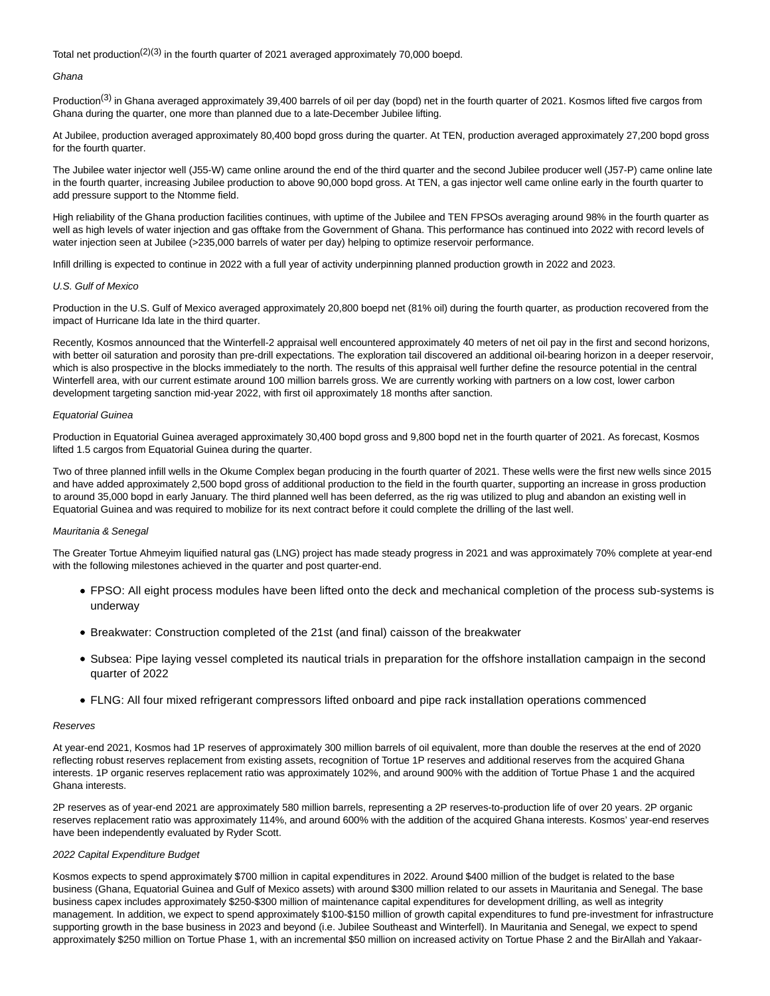Total net production<sup>(2)(3)</sup> in the fourth quarter of 2021 averaged approximately 70,000 boepd.

### Ghana

Production<sup>(3)</sup> in Ghana averaged approximately 39,400 barrels of oil per day (bopd) net in the fourth quarter of 2021. Kosmos lifted five cargos from Ghana during the quarter, one more than planned due to a late-December Jubilee lifting.

At Jubilee, production averaged approximately 80,400 bopd gross during the quarter. At TEN, production averaged approximately 27,200 bopd gross for the fourth quarter.

The Jubilee water injector well (J55-W) came online around the end of the third quarter and the second Jubilee producer well (J57-P) came online late in the fourth quarter, increasing Jubilee production to above 90,000 bopd gross. At TEN, a gas injector well came online early in the fourth quarter to add pressure support to the Ntomme field.

High reliability of the Ghana production facilities continues, with uptime of the Jubilee and TEN FPSOs averaging around 98% in the fourth quarter as well as high levels of water injection and gas offtake from the Government of Ghana. This performance has continued into 2022 with record levels of water injection seen at Jubilee (>235,000 barrels of water per day) helping to optimize reservoir performance.

Infill drilling is expected to continue in 2022 with a full year of activity underpinning planned production growth in 2022 and 2023.

#### U.S. Gulf of Mexico

Production in the U.S. Gulf of Mexico averaged approximately 20,800 boepd net (81% oil) during the fourth quarter, as production recovered from the impact of Hurricane Ida late in the third quarter.

Recently, Kosmos announced that the Winterfell-2 appraisal well encountered approximately 40 meters of net oil pay in the first and second horizons, with better oil saturation and porosity than pre-drill expectations. The exploration tail discovered an additional oil-bearing horizon in a deeper reservoir, which is also prospective in the blocks immediately to the north. The results of this appraisal well further define the resource potential in the central Winterfell area, with our current estimate around 100 million barrels gross. We are currently working with partners on a low cost, lower carbon development targeting sanction mid-year 2022, with first oil approximately 18 months after sanction.

#### Equatorial Guinea

Production in Equatorial Guinea averaged approximately 30,400 bopd gross and 9,800 bopd net in the fourth quarter of 2021. As forecast, Kosmos lifted 1.5 cargos from Equatorial Guinea during the quarter.

Two of three planned infill wells in the Okume Complex began producing in the fourth quarter of 2021. These wells were the first new wells since 2015 and have added approximately 2,500 bopd gross of additional production to the field in the fourth quarter, supporting an increase in gross production to around 35,000 bopd in early January. The third planned well has been deferred, as the rig was utilized to plug and abandon an existing well in Equatorial Guinea and was required to mobilize for its next contract before it could complete the drilling of the last well.

# Mauritania & Senegal

The Greater Tortue Ahmeyim liquified natural gas (LNG) project has made steady progress in 2021 and was approximately 70% complete at year-end with the following milestones achieved in the quarter and post quarter-end.

- FPSO: All eight process modules have been lifted onto the deck and mechanical completion of the process sub-systems is underway
- Breakwater: Construction completed of the 21st (and final) caisson of the breakwater
- Subsea: Pipe laying vessel completed its nautical trials in preparation for the offshore installation campaign in the second quarter of 2022
- FLNG: All four mixed refrigerant compressors lifted onboard and pipe rack installation operations commenced

# Reserves

At year-end 2021, Kosmos had 1P reserves of approximately 300 million barrels of oil equivalent, more than double the reserves at the end of 2020 reflecting robust reserves replacement from existing assets, recognition of Tortue 1P reserves and additional reserves from the acquired Ghana interests. 1P organic reserves replacement ratio was approximately 102%, and around 900% with the addition of Tortue Phase 1 and the acquired Ghana interests.

2P reserves as of year-end 2021 are approximately 580 million barrels, representing a 2P reserves-to-production life of over 20 years. 2P organic reserves replacement ratio was approximately 114%, and around 600% with the addition of the acquired Ghana interests. Kosmos' year-end reserves have been independently evaluated by Ryder Scott.

# 2022 Capital Expenditure Budget

Kosmos expects to spend approximately \$700 million in capital expenditures in 2022. Around \$400 million of the budget is related to the base business (Ghana, Equatorial Guinea and Gulf of Mexico assets) with around \$300 million related to our assets in Mauritania and Senegal. The base business capex includes approximately \$250-\$300 million of maintenance capital expenditures for development drilling, as well as integrity management. In addition, we expect to spend approximately \$100-\$150 million of growth capital expenditures to fund pre-investment for infrastructure supporting growth in the base business in 2023 and beyond (i.e. Jubilee Southeast and Winterfell). In Mauritania and Senegal, we expect to spend approximately \$250 million on Tortue Phase 1, with an incremental \$50 million on increased activity on Tortue Phase 2 and the BirAllah and Yakaar-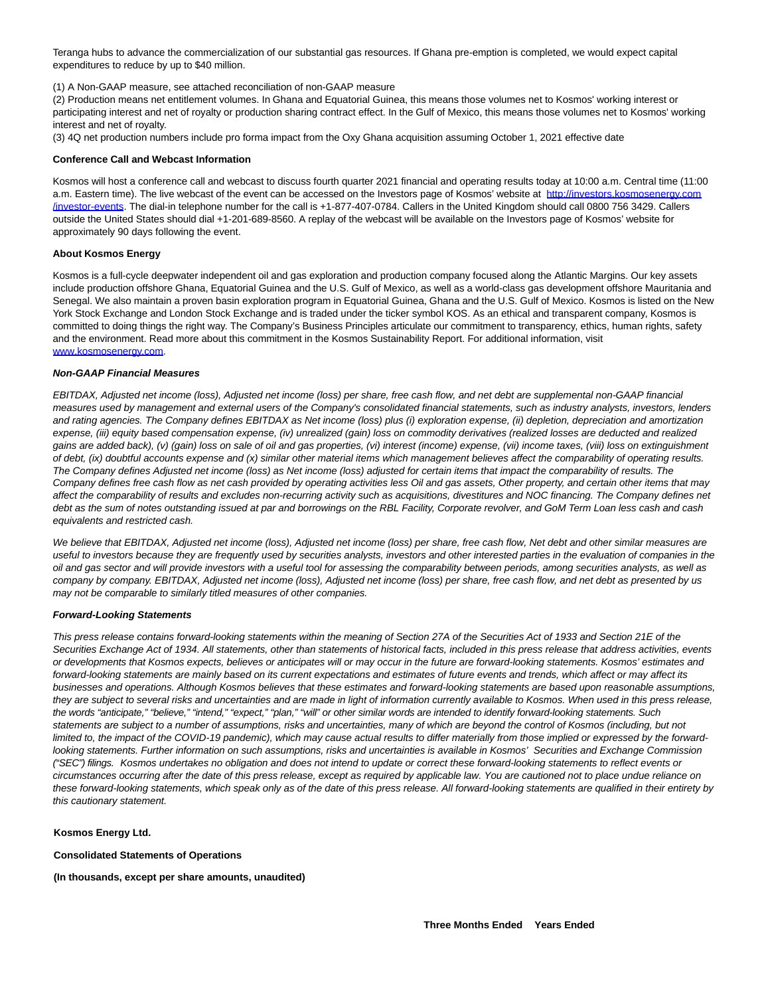Teranga hubs to advance the commercialization of our substantial gas resources. If Ghana pre-emption is completed, we would expect capital expenditures to reduce by up to \$40 million.

(1) A Non-GAAP measure, see attached reconciliation of non-GAAP measure

(2) Production means net entitlement volumes. In Ghana and Equatorial Guinea, this means those volumes net to Kosmos' working interest or participating interest and net of royalty or production sharing contract effect. In the Gulf of Mexico, this means those volumes net to Kosmos' working interest and net of royalty.

(3) 4Q net production numbers include pro forma impact from the Oxy Ghana acquisition assuming October 1, 2021 effective date

### **Conference Call and Webcast Information**

Kosmos will host a conference call and webcast to discuss fourth quarter 2021 financial and operating results today at 10:00 a.m. Central time (11:00 a.m. Eastern time). The live webcast of the event can be accessed on the Investors page of Kosmos' website at [http://investors.kosmosenergy.com](https://cts.businesswire.com/ct/CT?id=smartlink&url=http%3A%2F%2Finvestors.kosmosenergy.com%2Finvestor-events&esheet=52586159&newsitemid=20220227005123&lan=en-US&anchor=http%3A%2F%2Finvestors.kosmosenergy.com%2Finvestor-events&index=1&md5=ce29fef1429bd6800669d7f368a7d775) /investor-events. The dial-in telephone number for the call is +1-877-407-0784. Callers in the United Kingdom should call 0800 756 3429. Callers outside the United States should dial +1-201-689-8560. A replay of the webcast will be available on the Investors page of Kosmos' website for approximately 90 days following the event.

#### **About Kosmos Energy**

Kosmos is a full-cycle deepwater independent oil and gas exploration and production company focused along the Atlantic Margins. Our key assets include production offshore Ghana, Equatorial Guinea and the U.S. Gulf of Mexico, as well as a world-class gas development offshore Mauritania and Senegal. We also maintain a proven basin exploration program in Equatorial Guinea, Ghana and the U.S. Gulf of Mexico. Kosmos is listed on the New York Stock Exchange and London Stock Exchange and is traded under the ticker symbol KOS. As an ethical and transparent company, Kosmos is committed to doing things the right way. The Company's Business Principles articulate our commitment to transparency, ethics, human rights, safety and the environment. Read more about this commitment in the Kosmos Sustainability Report. For additional information, visit [www.kosmosenergy.com.](https://cts.businesswire.com/ct/CT?id=smartlink&url=http%3A%2F%2Fwww.kosmosenergy.com&esheet=52586159&newsitemid=20220227005123&lan=en-US&anchor=www.kosmosenergy.com&index=2&md5=8b73968bec523297419a76806f9c4ad3)

### **Non-GAAP Financial Measures**

EBITDAX, Adjusted net income (loss), Adjusted net income (loss) per share, free cash flow, and net debt are supplemental non-GAAP financial measures used by management and external users of the Company's consolidated financial statements, such as industry analysts, investors, lenders and rating agencies. The Company defines EBITDAX as Net income (loss) plus (i) exploration expense, (ii) depletion, depreciation and amortization expense, (iii) equity based compensation expense, (iv) unrealized (gain) loss on commodity derivatives (realized losses are deducted and realized gains are added back), (v) (gain) loss on sale of oil and gas properties, (vi) interest (income) expense, (vii) income taxes, (viii) loss on extinguishment of debt, (ix) doubtful accounts expense and (x) similar other material items which management believes affect the comparability of operating results. The Company defines Adjusted net income (loss) as Net income (loss) adjusted for certain items that impact the comparability of results. The Company defines free cash flow as net cash provided by operating activities less Oil and gas assets, Other property, and certain other items that may affect the comparability of results and excludes non-recurring activity such as acquisitions, divestitures and NOC financing. The Company defines net debt as the sum of notes outstanding issued at par and borrowings on the RBL Facility, Corporate revolver, and GoM Term Loan less cash and cash equivalents and restricted cash.

We believe that EBITDAX, Adjusted net income (loss), Adjusted net income (loss) per share, free cash flow, Net debt and other similar measures are useful to investors because they are frequently used by securities analysts, investors and other interested parties in the evaluation of companies in the oil and gas sector and will provide investors with a useful tool for assessing the comparability between periods, among securities analysts, as well as company by company. EBITDAX, Adjusted net income (loss), Adjusted net income (loss) per share, free cash flow, and net debt as presented by us may not be comparable to similarly titled measures of other companies.

#### **Forward-Looking Statements**

This press release contains forward-looking statements within the meaning of Section 27A of the Securities Act of 1933 and Section 21E of the Securities Exchange Act of 1934. All statements, other than statements of historical facts, included in this press release that address activities, events or developments that Kosmos expects, believes or anticipates will or may occur in the future are forward-looking statements. Kosmos' estimates and forward-looking statements are mainly based on its current expectations and estimates of future events and trends, which affect or may affect its businesses and operations. Although Kosmos believes that these estimates and forward-looking statements are based upon reasonable assumptions, they are subject to several risks and uncertainties and are made in light of information currently available to Kosmos. When used in this press release, the words "anticipate," "believe," "intend," "expect," "plan," "will" or other similar words are intended to identify forward-looking statements. Such statements are subject to a number of assumptions, risks and uncertainties, many of which are beyond the control of Kosmos (including, but not limited to, the impact of the COVID-19 pandemic), which may cause actual results to differ materially from those implied or expressed by the forwardlooking statements. Further information on such assumptions, risks and uncertainties is available in Kosmos' Securities and Exchange Commission ("SEC") filings. Kosmos undertakes no obligation and does not intend to update or correct these forward-looking statements to reflect events or circumstances occurring after the date of this press release, except as required by applicable law. You are cautioned not to place undue reliance on these forward-looking statements, which speak only as of the date of this press release. All forward-looking statements are qualified in their entirety by this cautionary statement.

**Kosmos Energy Ltd.**

**Consolidated Statements of Operations**

**(In thousands, except per share amounts, unaudited)**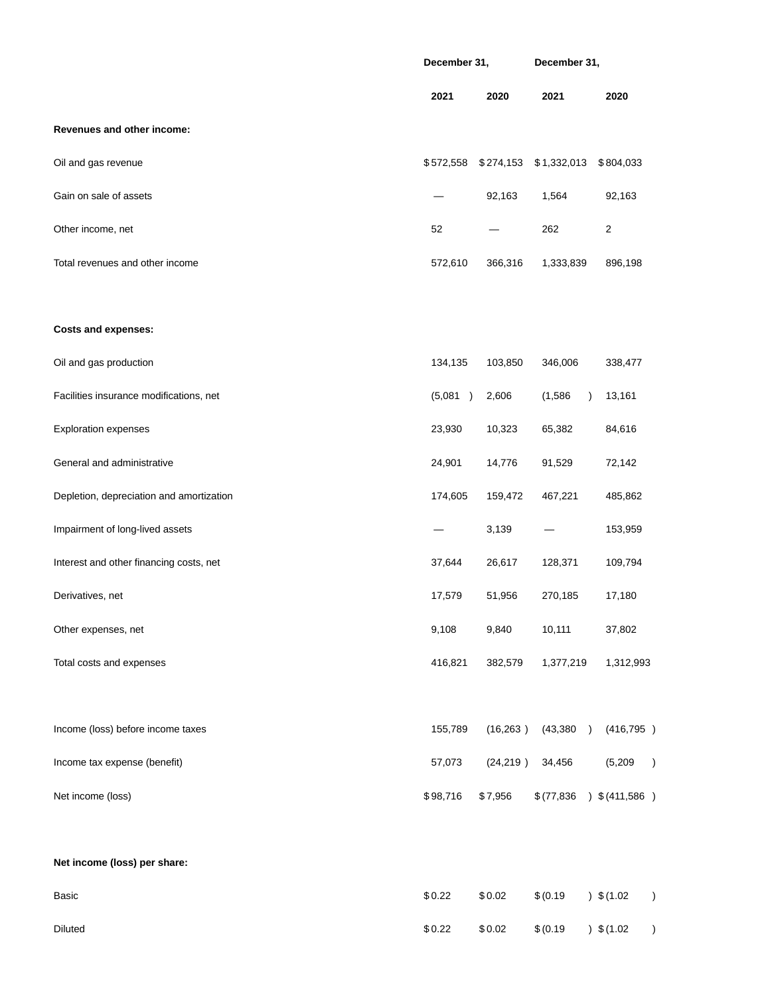|                                          | December 31, |           | December 31,           |                               |  |
|------------------------------------------|--------------|-----------|------------------------|-------------------------------|--|
|                                          | 2021<br>2020 |           | 2021                   | 2020                          |  |
| Revenues and other income:               |              |           |                        |                               |  |
| Oil and gas revenue                      | \$572,558    | \$274,153 | \$1,332,013            | \$804,033                     |  |
| Gain on sale of assets                   |              | 92,163    | 1,564                  | 92,163                        |  |
| Other income, net                        | 52           |           | 262                    | 2                             |  |
| Total revenues and other income          | 572,610      | 366,316   | 1,333,839              | 896,198                       |  |
|                                          |              |           |                        |                               |  |
| <b>Costs and expenses:</b>               |              |           |                        |                               |  |
| Oil and gas production                   | 134,135      | 103,850   | 346,006                | 338,477                       |  |
| Facilities insurance modifications, net  | (5,081)      | 2,606     | (1,586)<br>$\lambda$   | 13,161                        |  |
| <b>Exploration expenses</b>              | 23,930       | 10,323    | 65,382                 | 84,616                        |  |
| General and administrative               | 24,901       | 14,776    | 91,529                 | 72,142                        |  |
| Depletion, depreciation and amortization | 174,605      | 159,472   | 467,221                | 485,862                       |  |
| Impairment of long-lived assets          |              | 3,139     |                        | 153,959                       |  |
| Interest and other financing costs, net  | 37,644       | 26,617    | 128,371                | 109,794                       |  |
| Derivatives, net                         | 17,579       | 51,956    | 270,185                | 17,180                        |  |
| Other expenses, net                      | 9,108        | 9,840     | 10,111                 | 37,802                        |  |
| Total costs and expenses                 | 416,821      | 382,579   | 1,377,219              | 1,312,993                     |  |
|                                          |              |           |                        |                               |  |
| Income (loss) before income taxes        | 155,789      | (16, 263) | (43, 380)<br>$\lambda$ | (416, 795)                    |  |
| Income tax expense (benefit)             | 57,073       | (24, 219) | 34,456                 | (5,209)<br>$\lambda$          |  |
| Net income (loss)                        | \$98,716     | \$7,956   | \$(77, 836)            | $)$ \$(411,586)               |  |
|                                          |              |           |                        |                               |  |
| Net income (loss) per share:             |              |           |                        |                               |  |
| Basic                                    | \$0.22       | \$0.02    | \$ (0.19)              | $)$ \$ (1.02<br>$\mathcal{E}$ |  |
| Diluted                                  | \$0.22       | \$0.02    | \$ (0.19)              | $)$ \$ (1.02<br>$\mathcal{E}$ |  |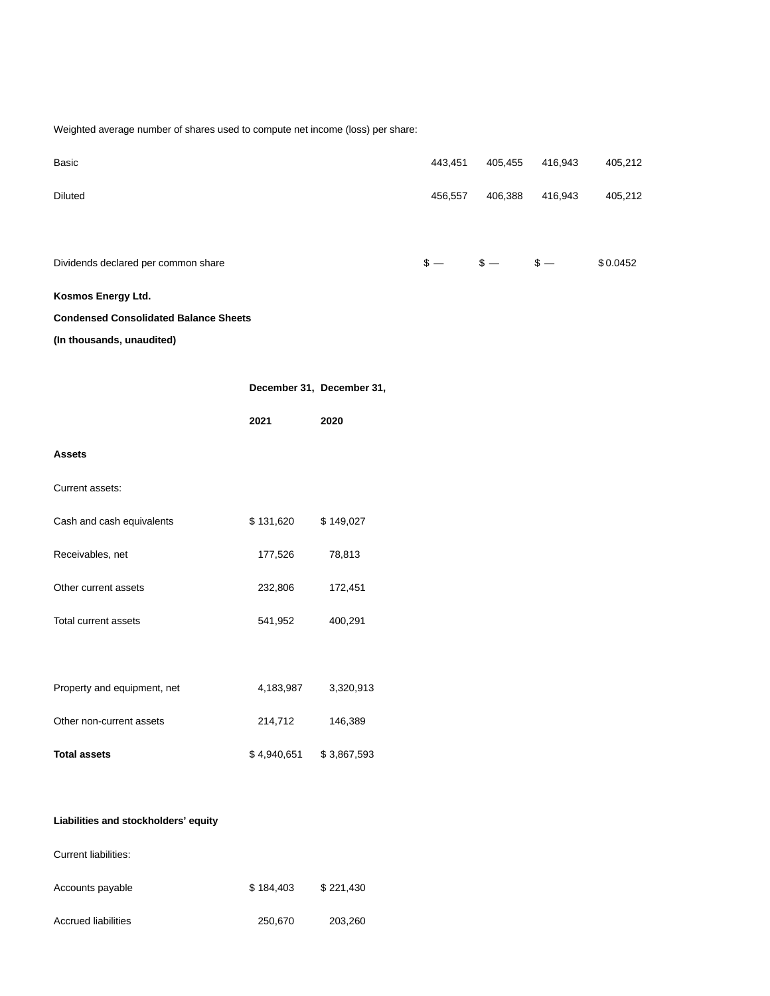Weighted average number of shares used to compute net income (loss) per share:

| Basic                                        |             |                           | 443,451 | 405,455 | 416,943 | 405,212  |
|----------------------------------------------|-------------|---------------------------|---------|---------|---------|----------|
| <b>Diluted</b>                               |             |                           | 456,557 | 406,388 | 416,943 | 405,212  |
|                                              |             |                           |         |         |         |          |
| Dividends declared per common share          |             |                           |         |         |         | \$0.0452 |
| Kosmos Energy Ltd.                           |             |                           |         |         |         |          |
| <b>Condensed Consolidated Balance Sheets</b> |             |                           |         |         |         |          |
| (In thousands, unaudited)                    |             |                           |         |         |         |          |
|                                              |             | December 31, December 31, |         |         |         |          |
|                                              | 2021        | 2020                      |         |         |         |          |
| <b>Assets</b>                                |             |                           |         |         |         |          |
| Current assets:                              |             |                           |         |         |         |          |
| Cash and cash equivalents                    | \$131,620   | \$149,027                 |         |         |         |          |
| Receivables, net                             | 177,526     | 78,813                    |         |         |         |          |
| Other current assets                         | 232,806     | 172,451                   |         |         |         |          |
| Total current assets                         | 541,952     | 400,291                   |         |         |         |          |
|                                              |             |                           |         |         |         |          |
| Property and equipment, net                  | 4,183,987   | 3,320,913                 |         |         |         |          |
| Other non-current assets                     | 214,712     | 146,389                   |         |         |         |          |
| <b>Total assets</b>                          | \$4,940,651 | \$3,867,593               |         |         |         |          |
|                                              |             |                           |         |         |         |          |
| Liabilities and stockholders' equity         |             |                           |         |         |         |          |
| Current liabilities:                         |             |                           |         |         |         |          |
| Accounts payable                             | \$184,403   | \$221,430                 |         |         |         |          |

Accrued liabilities 250,670 203,260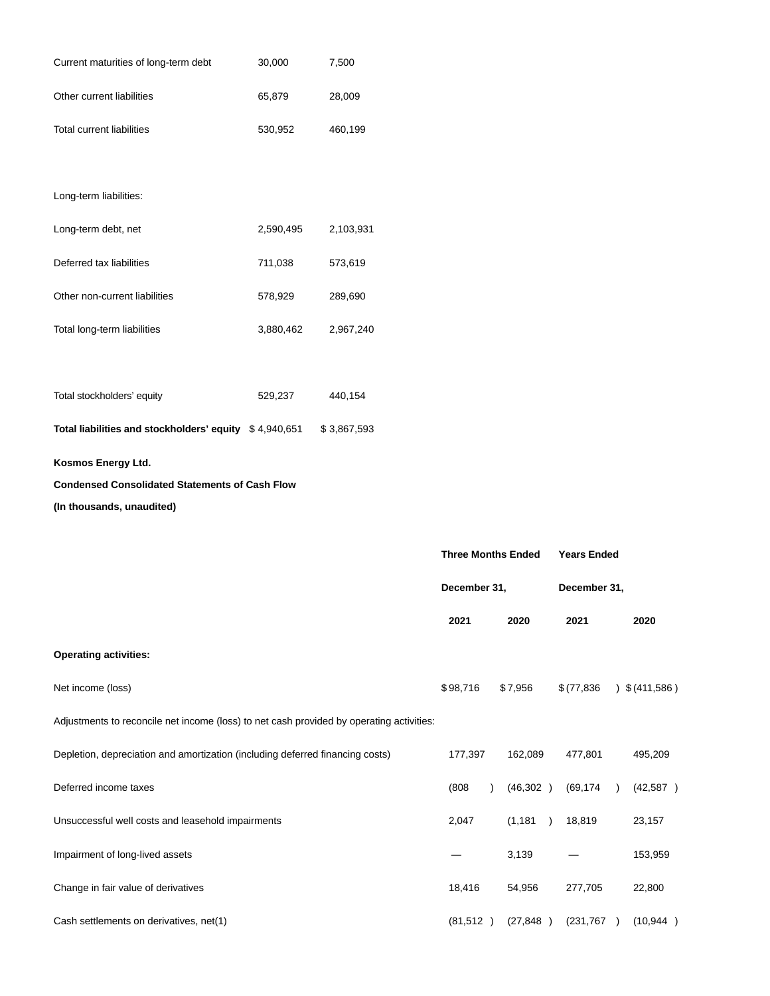| Current maturities of long-term debt                                                     | 30,000    | 7,500       |                           |                       |                    |                        |
|------------------------------------------------------------------------------------------|-----------|-------------|---------------------------|-----------------------|--------------------|------------------------|
| Other current liabilities                                                                | 65,879    | 28,009      |                           |                       |                    |                        |
| <b>Total current liabilities</b>                                                         | 530,952   | 460,199     |                           |                       |                    |                        |
|                                                                                          |           |             |                           |                       |                    |                        |
| Long-term liabilities:                                                                   |           |             |                           |                       |                    |                        |
| Long-term debt, net                                                                      | 2,590,495 | 2,103,931   |                           |                       |                    |                        |
| Deferred tax liabilities                                                                 | 711,038   | 573,619     |                           |                       |                    |                        |
| Other non-current liabilities                                                            | 578,929   | 289,690     |                           |                       |                    |                        |
| Total long-term liabilities                                                              | 3,880,462 | 2,967,240   |                           |                       |                    |                        |
|                                                                                          |           |             |                           |                       |                    |                        |
| Total stockholders' equity                                                               | 529,237   | 440,154     |                           |                       |                    |                        |
| Total liabilities and stockholders' equity \$4,940,651                                   |           | \$3,867,593 |                           |                       |                    |                        |
| Kosmos Energy Ltd.                                                                       |           |             |                           |                       |                    |                        |
| <b>Condensed Consolidated Statements of Cash Flow</b>                                    |           |             |                           |                       |                    |                        |
| (In thousands, unaudited)                                                                |           |             |                           |                       |                    |                        |
|                                                                                          |           |             | <b>Three Months Ended</b> |                       | <b>Years Ended</b> |                        |
|                                                                                          |           |             | December 31,              |                       | December 31,       |                        |
|                                                                                          |           |             | 2021                      | 2020                  | 2021               | 2020                   |
| <b>Operating activities:</b>                                                             |           |             |                           |                       |                    |                        |
| Net income (loss)                                                                        |           |             | \$98,716                  | \$7,956               | \$(77, 836)        | $)$ \$ (411,586)       |
| Adjustments to reconcile net income (loss) to net cash provided by operating activities: |           |             |                           |                       |                    |                        |
| Depletion, depreciation and amortization (including deferred financing costs)            |           |             | 177,397                   | 162,089               | 477,801            | 495,209                |
| Deferred income taxes                                                                    |           |             | (808)<br>$\lambda$        | (46, 302)             | (69, 174)          | (42, 587)<br>$\lambda$ |
| Unsuccessful well costs and leasehold impairments                                        |           |             | 2,047                     | (1, 181)<br>$\lambda$ | 18,819             | 23,157                 |
| Impairment of long-lived assets                                                          |           |             |                           | 3,139                 |                    | 153,959                |
|                                                                                          |           |             |                           |                       |                    |                        |
| Change in fair value of derivatives                                                      |           |             | 18,416                    | 54,956                | 277,705            | 22,800                 |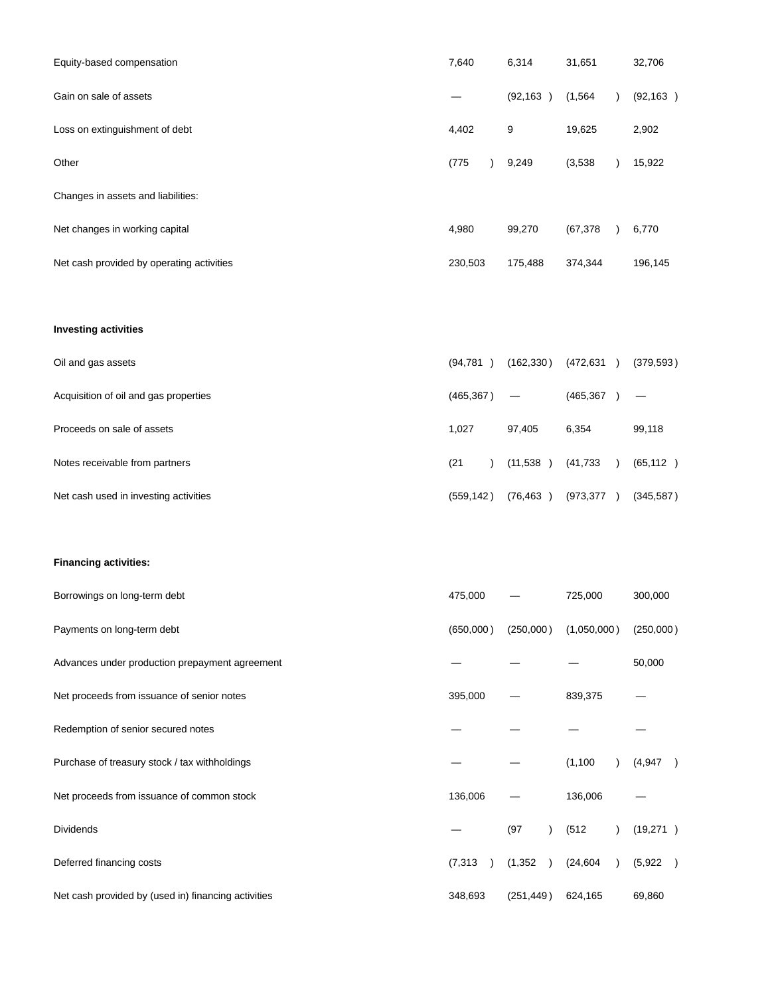| Equity-based compensation                      | 7,640             | 6,314             | 31,651                    | 32,706                   |
|------------------------------------------------|-------------------|-------------------|---------------------------|--------------------------|
| Gain on sale of assets                         |                   | (92, 163)         | (1, 564)<br>$\lambda$     | (92, 163)                |
| Loss on extinguishment of debt                 | 4,402             | 9                 | 19,625                    | 2,902                    |
| Other                                          | (775)             | 9,249             | (3,538)<br>$\lambda$      | 15,922                   |
| Changes in assets and liabilities:             |                   |                   |                           |                          |
| Net changes in working capital                 | 4,980             | 99,270            | (67, 378)<br>$\lambda$    | 6,770                    |
| Net cash provided by operating activities      | 230,503           | 175,488           | 374,344                   | 196,145                  |
| <b>Investing activities</b>                    |                   |                   |                           |                          |
| Oil and gas assets                             | (94, 781)         | (162, 330)        | (472,631<br>$\rightarrow$ | (379, 593)               |
| Acquisition of oil and gas properties          | (465, 367)        |                   | (465, 367)                |                          |
| Proceeds on sale of assets                     | 1,027             | 97,405            | 6,354                     | 99,118                   |
| Notes receivable from partners                 | (21)<br>$\lambda$ | (11,538)          | (41, 733)<br>$\lambda$    | (65, 112)                |
| Net cash used in investing activities          | (559, 142)        | (76, 463)         | (973, 377)                | (345, 587)               |
| <b>Financing activities:</b>                   |                   |                   |                           |                          |
| Borrowings on long-term debt                   | 475,000           |                   | 725,000                   | 300,000                  |
| Payments on long-term debt                     | (650,000)         | (250,000)         | (1,050,000)               | (250,000)                |
| Advances under production prepayment agreement |                   |                   |                           | 50,000                   |
| Net proceeds from issuance of senior notes     | 395,000           |                   | 839,375                   |                          |
| Redemption of senior secured notes             |                   |                   |                           |                          |
| Purchase of treasury stock / tax withholdings  |                   |                   | (1,100)                   | (4,947)<br>$\rightarrow$ |
| Net proceeds from issuance of common stock     | 136,006           |                   | 136,006                   |                          |
| <b>Dividends</b>                               |                   | (97)<br>$\lambda$ | (512)                     | (19, 271)                |
| Deferred financing costs                       | (7, 313)          | (1, 352)          | (24, 604)                 | (5,922)                  |

Net cash provided by (used in) financing activities 348,693 (251,449) 624,165 69,860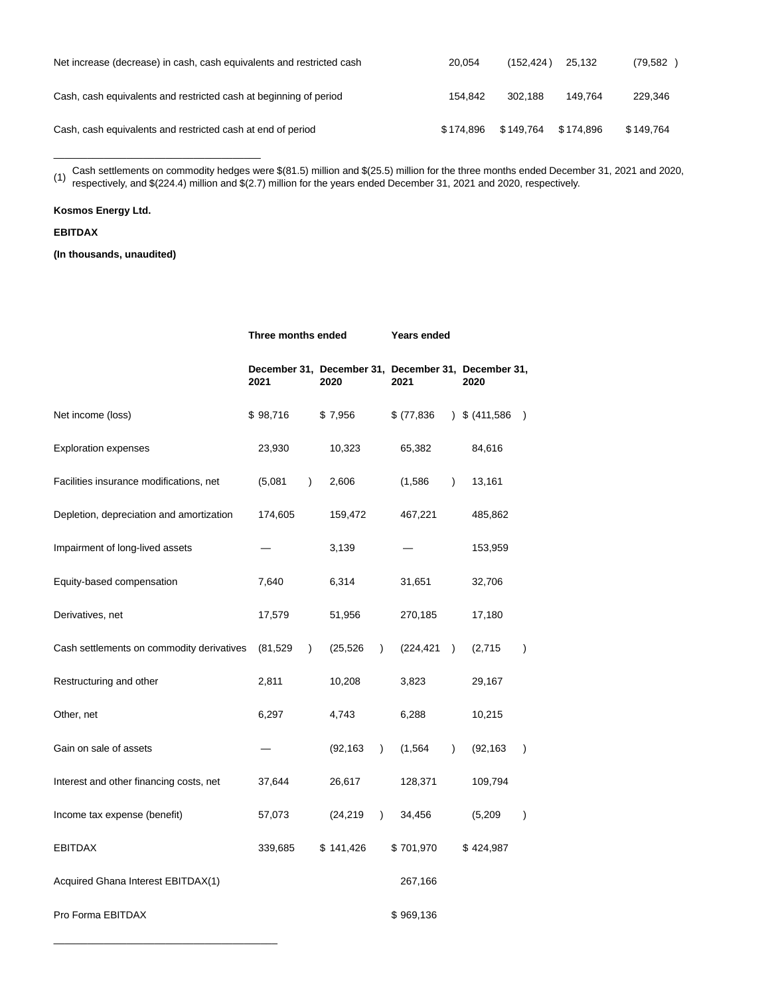| Net increase (decrease) in cash, cash equivalents and restricted cash | 20.054    | (152.424) | 25.132    | (79.582)  |
|-----------------------------------------------------------------------|-----------|-----------|-----------|-----------|
| Cash, cash equivalents and restricted cash at beginning of period     | 154.842   | 302.188   | 149.764   | 229.346   |
| Cash, cash equivalents and restricted cash at end of period           | \$174.896 | \$149.764 | \$174.896 | \$149.764 |

(1) Cash settlements on commodity hedges were \$(81.5) million and \$(25.5) million for the three months ended December 31, 2021 and 2020,<br>respectively, and \$(224.4) million and \$(2.7) million for the years ended December 31

# **Kosmos Energy Ltd.**

# **EBITDAX**

# **(In thousands, unaudited)**

\_\_\_\_\_\_\_\_\_\_\_\_\_\_\_\_\_\_\_\_\_\_\_\_\_\_\_\_\_\_\_\_\_\_\_\_\_

\_\_\_\_\_\_\_\_\_\_\_\_\_\_\_\_\_\_\_\_\_\_\_\_\_\_\_\_\_\_\_\_\_\_\_\_\_\_\_\_

|                                           | Three months ended |           |           | <b>Years ended</b> |                                                             |  |                  |           |
|-------------------------------------------|--------------------|-----------|-----------|--------------------|-------------------------------------------------------------|--|------------------|-----------|
|                                           | 2021               |           | 2020      |                    | December 31, December 31, December 31, December 31,<br>2021 |  | 2020             |           |
| Net income (loss)                         | \$98,716           |           | \$7,956   |                    | \$ (77,836)                                                 |  | $)$ \$ (411,586) | $\lambda$ |
| <b>Exploration expenses</b>               | 23,930             |           | 10,323    |                    | 65,382                                                      |  | 84,616           |           |
| Facilities insurance modifications, net   | (5,081)            | $\lambda$ | 2,606     |                    | (1,586)<br>$\lambda$                                        |  | 13,161           |           |
| Depletion, depreciation and amortization  | 174,605            |           | 159,472   |                    | 467,221                                                     |  | 485,862          |           |
| Impairment of long-lived assets           |                    |           | 3,139     |                    |                                                             |  | 153,959          |           |
| Equity-based compensation                 | 7,640              |           | 6,314     |                    | 31,651                                                      |  | 32,706           |           |
| Derivatives, net                          | 17,579             |           | 51,956    |                    | 270,185                                                     |  | 17,180           |           |
| Cash settlements on commodity derivatives | (81, 529)          | $\lambda$ | (25, 526) | $\lambda$          | (224, 421)<br>$\lambda$                                     |  | (2,715)          | $\lambda$ |
| Restructuring and other                   | 2,811              |           | 10,208    |                    | 3,823                                                       |  | 29,167           |           |
| Other, net                                | 6,297              |           | 4,743     |                    | 6,288                                                       |  | 10,215           |           |
| Gain on sale of assets                    |                    |           | (92, 163) | $\lambda$          | (1, 564)<br>$\lambda$                                       |  | (92, 163)        | $\lambda$ |
| Interest and other financing costs, net   | 37,644             |           | 26,617    |                    | 128,371                                                     |  | 109,794          |           |
| Income tax expense (benefit)              | 57,073             |           | (24, 219) | $\lambda$          | 34,456                                                      |  | (5,209)          | $\lambda$ |
| EBITDAX                                   | 339,685            |           | \$141,426 |                    | \$701,970                                                   |  | \$424,987        |           |
| Acquired Ghana Interest EBITDAX(1)        |                    |           |           |                    | 267,166                                                     |  |                  |           |
| Pro Forma EBITDAX                         |                    |           |           |                    | \$969,136                                                   |  |                  |           |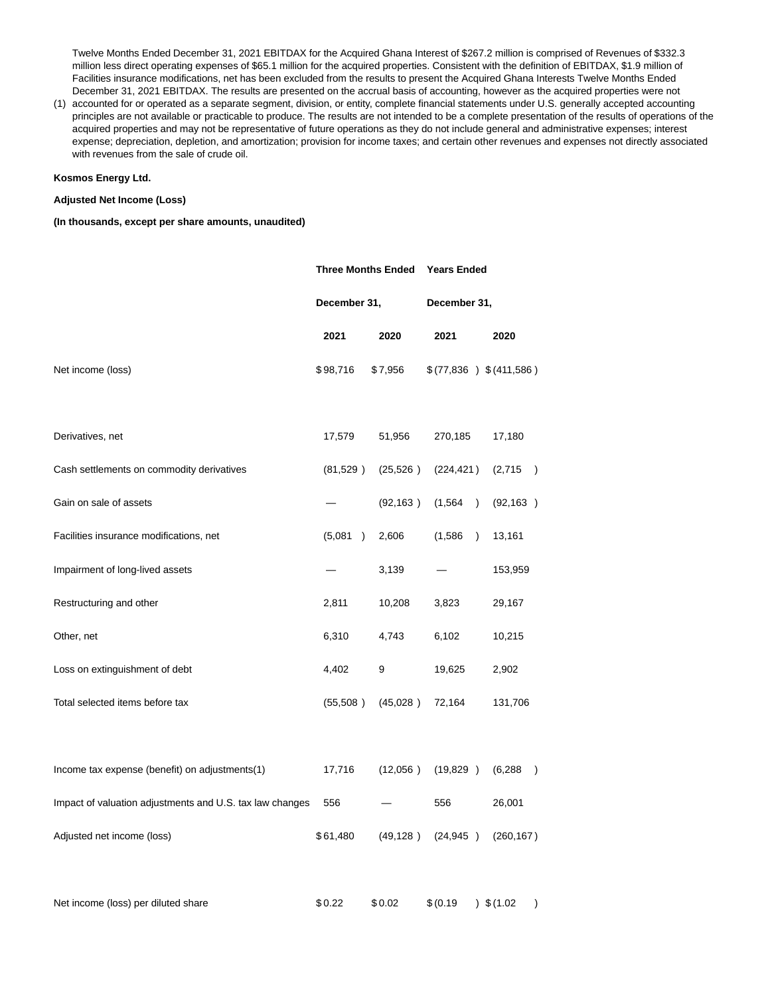Twelve Months Ended December 31, 2021 EBITDAX for the Acquired Ghana Interest of \$267.2 million is comprised of Revenues of \$332.3 million less direct operating expenses of \$65.1 million for the acquired properties. Consistent with the definition of EBITDAX, \$1.9 million of Facilities insurance modifications, net has been excluded from the results to present the Acquired Ghana Interests Twelve Months Ended December 31, 2021 EBITDAX. The results are presented on the accrual basis of accounting, however as the acquired properties were not

(1) accounted for or operated as a separate segment, division, or entity, complete financial statements under U.S. generally accepted accounting principles are not available or practicable to produce. The results are not intended to be a complete presentation of the results of operations of the acquired properties and may not be representative of future operations as they do not include general and administrative expenses; interest expense; depreciation, depletion, and amortization; provision for income taxes; and certain other revenues and expenses not directly associated with revenues from the sale of crude oil.

#### **Kosmos Energy Ltd.**

# **Adjusted Net Income (Loss)**

**(In thousands, except per share amounts, unaudited)**

|                                                          | <b>Three Months Ended</b> |           | <b>Years Ended</b>       |                           |  |  |
|----------------------------------------------------------|---------------------------|-----------|--------------------------|---------------------------|--|--|
|                                                          | December 31,              |           | December 31,             |                           |  |  |
|                                                          | 2021                      | 2020      | 2021                     | 2020                      |  |  |
| Net income (loss)                                        | \$98,716                  | \$7,956   | $$(77,836)$ $$(411,586)$ |                           |  |  |
|                                                          |                           |           |                          |                           |  |  |
| Derivatives, net                                         | 17,579                    | 51,956    | 270,185                  | 17,180                    |  |  |
| Cash settlements on commodity derivatives                | (81,529)                  | (25, 526) | (224, 421)               | (2,715)<br>$\rightarrow$  |  |  |
| Gain on sale of assets                                   |                           | (92, 163) | (1, 564)<br>$\lambda$    | (92, 163)                 |  |  |
| Facilities insurance modifications, net                  | (5,081)<br>$\lambda$      | 2,606     | (1,586)<br>$\lambda$     | 13,161                    |  |  |
| Impairment of long-lived assets                          |                           | 3,139     |                          | 153,959                   |  |  |
| Restructuring and other                                  | 2,811                     | 10,208    | 3,823                    | 29,167                    |  |  |
| Other, net                                               | 6,310                     | 4,743     | 6,102                    | 10,215                    |  |  |
| Loss on extinguishment of debt                           | 4,402                     | 9         | 19,625                   | 2,902                     |  |  |
| Total selected items before tax                          | (55,508)                  | (45,028)  | 72,164                   | 131,706                   |  |  |
|                                                          |                           |           |                          |                           |  |  |
| Income tax expense (benefit) on adjustments(1)           | 17,716                    | (12,056)  | (19,829)                 | (6, 288)<br>$\rightarrow$ |  |  |
| Impact of valuation adjustments and U.S. tax law changes | 556                       |           | 556                      | 26,001                    |  |  |
| Adjusted net income (loss)                               | \$61,480                  | (49, 128) | (24, 945)                | (260, 167)                |  |  |
| Net income (loss) per diluted share                      | \$0.22                    | \$0.02    | \$(0.19)                 | 3(1.02)<br>$\lambda$      |  |  |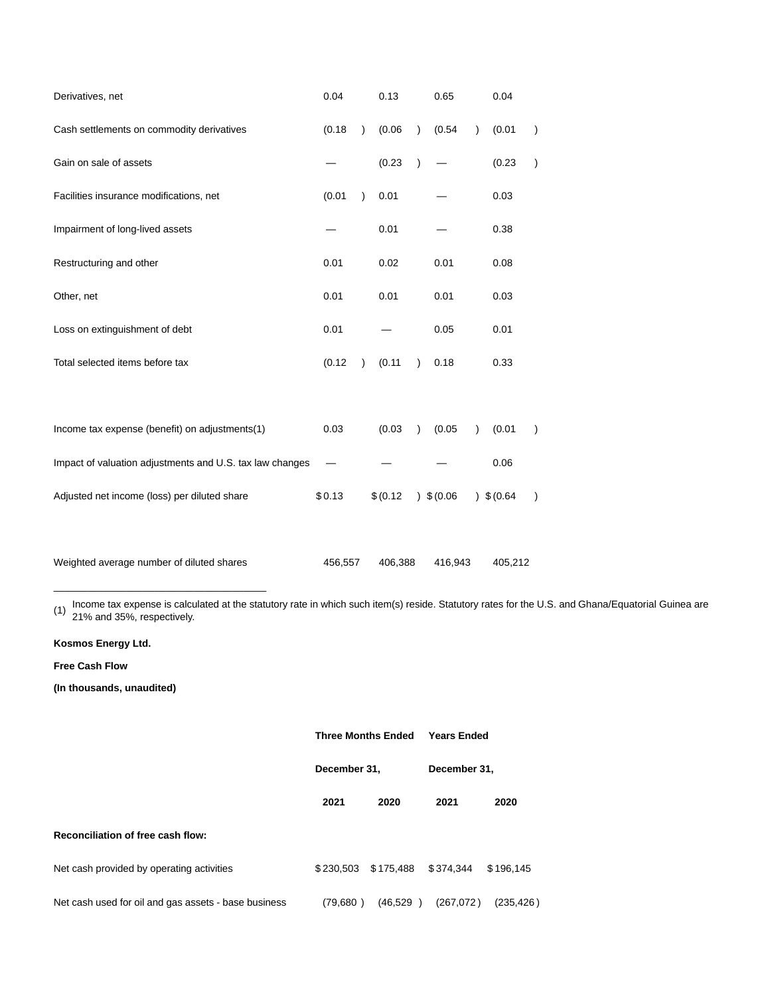| Derivatives, net                                         | 0.04    |           | 0.13      |               | 0.65     |           | 0.04     |               |
|----------------------------------------------------------|---------|-----------|-----------|---------------|----------|-----------|----------|---------------|
| Cash settlements on commodity derivatives                | (0.18)  | $\lambda$ | (0.06)    | $\lambda$     | (0.54)   | $\lambda$ | (0.01)   | $\mathcal{E}$ |
| Gain on sale of assets                                   |         |           | (0.23)    | $\mathcal{E}$ |          |           | (0.23)   | $\mathcal{E}$ |
| Facilities insurance modifications, net                  | (0.01)  | $\lambda$ | 0.01      |               |          |           | 0.03     |               |
| Impairment of long-lived assets                          |         |           | 0.01      |               |          |           | 0.38     |               |
| Restructuring and other                                  | 0.01    |           | 0.02      |               | 0.01     |           | 0.08     |               |
| Other, net                                               | 0.01    |           | 0.01      |               | 0.01     |           | 0.03     |               |
| Loss on extinguishment of debt                           | 0.01    |           |           |               | 0.05     |           | 0.01     |               |
| Total selected items before tax                          | (0.12)  | $\lambda$ | (0.11)    | $\lambda$     | 0.18     |           | 0.33     |               |
|                                                          |         |           |           |               |          |           |          |               |
| Income tax expense (benefit) on adjustments(1)           | 0.03    |           | (0.03)    | $\lambda$     | (0.05)   | $\lambda$ | (0.01)   | $\lambda$     |
| Impact of valuation adjustments and U.S. tax law changes |         |           |           |               |          |           | 0.06     |               |
| Adjusted net income (loss) per diluted share             | \$0.13  |           | \$ (0.12) |               | 9 (0.06) |           | 3 (0.64) | $\lambda$     |
|                                                          |         |           |           |               |          |           |          |               |
| Weighted average number of diluted shares                | 456,557 |           | 406,388   |               | 416,943  |           | 405,212  |               |

(1) Income tax expense is calculated at the statutory rate in which such item(s) reside. Statutory rates for the U.S. and Ghana/Equatorial Guinea are 21% and 35%, respectively.

**Kosmos Energy Ltd.**

**Free Cash Flow**

**(In thousands, unaudited)**

\_\_\_\_\_\_\_\_\_\_\_\_\_\_\_\_\_\_\_\_\_\_\_\_\_\_\_\_\_\_\_\_\_\_\_\_\_\_

|                                                      | <b>Three Months Ended</b> |           | <b>Years Ended</b> |            |  |
|------------------------------------------------------|---------------------------|-----------|--------------------|------------|--|
|                                                      | December 31,              |           | December 31,       |            |  |
|                                                      | 2021                      | 2020      | 2021               | 2020       |  |
| Reconciliation of free cash flow:                    |                           |           |                    |            |  |
| Net cash provided by operating activities            | \$230.503                 | \$175.488 | \$374.344          | \$196,145  |  |
| Net cash used for oil and gas assets - base business | (79,680)                  | (46, 529) | (267,072)          | (235, 426) |  |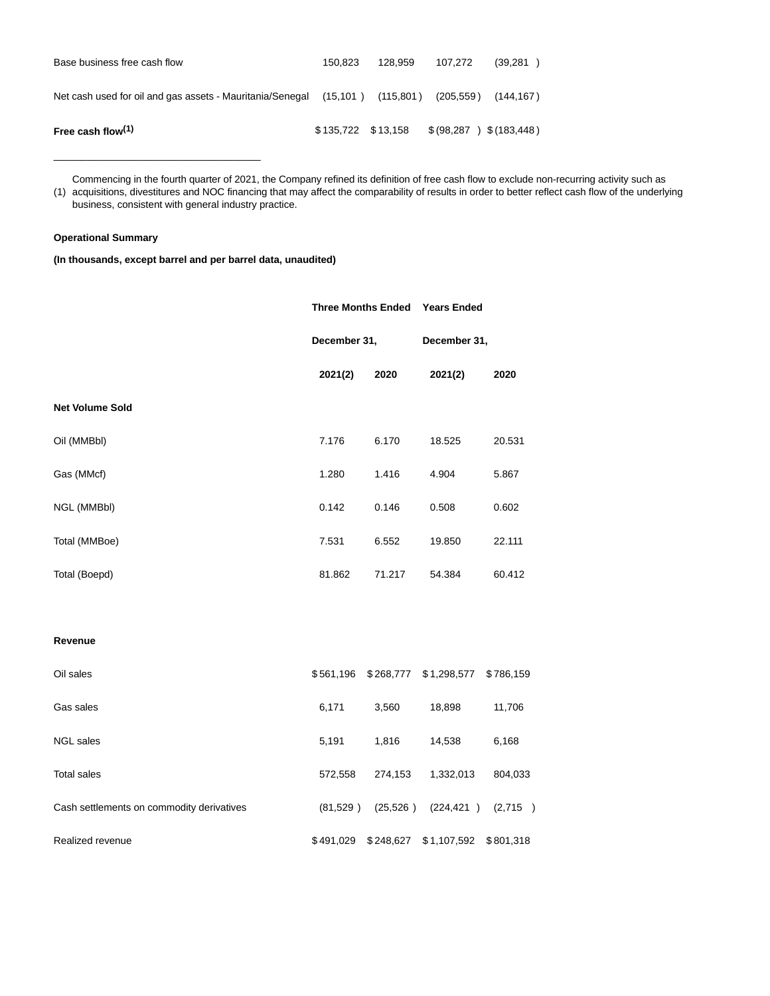| Base business free cash flow                                                           | 150.823            | 128.959 | 107.272                     | (39,281)  |
|----------------------------------------------------------------------------------------|--------------------|---------|-----------------------------|-----------|
| Net cash used for oil and gas assets - Mauritania/Senegal (15,101) (115,801) (205,559) |                    |         |                             | (144.167) |
| Free cash flow <sup>(1)</sup>                                                          | \$135,722 \$13,158 |         | \$ (98, 287 ) \$ (183, 448) |           |

Commencing in the fourth quarter of 2021, the Company refined its definition of free cash flow to exclude non-recurring activity such as

(1) acquisitions, divestitures and NOC financing that may affect the comparability of results in order to better reflect cash flow of the underlying business, consistent with general industry practice.

# **Operational Summary**

**(In thousands, except barrel and per barrel data, unaudited)**

\_\_\_\_\_\_\_\_\_\_\_\_\_\_\_\_\_\_\_\_\_\_\_\_\_\_\_\_\_\_\_\_\_\_\_\_\_

|                                           | <b>Three Months Ended</b> |           | <b>Years Ended</b> |           |
|-------------------------------------------|---------------------------|-----------|--------------------|-----------|
|                                           | December 31,              |           | December 31,       |           |
|                                           | 2021(2)                   | 2020      | 2021(2)            | 2020      |
| <b>Net Volume Sold</b>                    |                           |           |                    |           |
| Oil (MMBbl)                               | 7.176                     | 6.170     | 18.525             | 20.531    |
| Gas (MMcf)                                | 1.280                     | 1.416     | 4.904              | 5.867     |
| NGL (MMBbl)                               | 0.142                     | 0.146     | 0.508              | 0.602     |
| Total (MMBoe)                             | 7.531                     | 6.552     | 19.850             | 22.111    |
| Total (Boepd)                             | 81.862                    | 71.217    | 54.384             | 60.412    |
|                                           |                           |           |                    |           |
| Revenue                                   |                           |           |                    |           |
| Oil sales                                 | \$561,196                 | \$268,777 | \$1,298,577        | \$786,159 |
| Gas sales                                 | 6,171                     | 3,560     | 18,898             | 11,706    |
| <b>NGL</b> sales                          | 5,191                     | 1,816     | 14,538             | 6,168     |
| <b>Total sales</b>                        | 572,558                   | 274,153   | 1,332,013          | 804,033   |
| Cash settlements on commodity derivatives | (81,529)                  | (25, 526) | (224, 421)         | (2,715)   |
| Realized revenue                          | \$491,029                 | \$248,627 | \$1,107,592        | \$801,318 |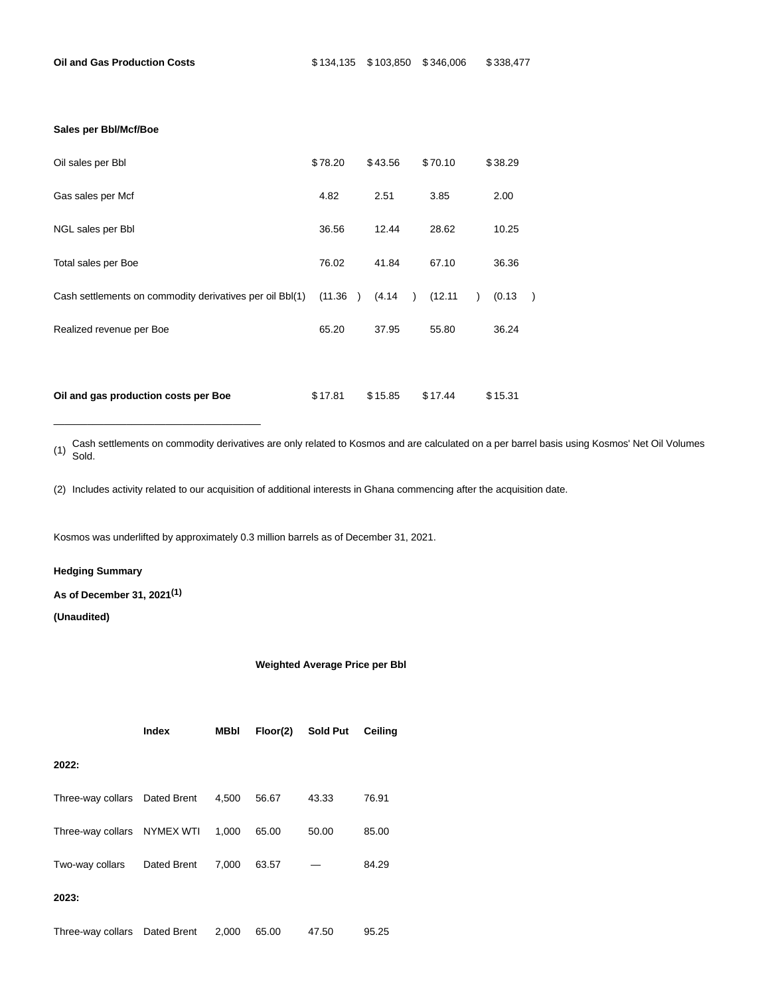**Oil and Gas Production Costs** \$ 134,135 \$ 103,850 \$ 346,006 \$ 338,477

#### **Sales per Bbl/Mcf/Boe**

| Oil sales per Bbl                                        | \$78.20 | \$43.56 | \$70.10 | \$38.29             |
|----------------------------------------------------------|---------|---------|---------|---------------------|
| Gas sales per Mcf                                        | 4.82    | 2.51    | 3.85    | 2.00                |
| NGL sales per Bbl                                        | 36.56   | 12.44   | 28.62   | 10.25               |
| Total sales per Boe                                      | 76.02   | 41.84   | 67.10   | 36.36               |
| Cash settlements on commodity derivatives per oil Bbl(1) | (11.36) | (4.14)  | (12.11) | (0.13)<br>$\lambda$ |
| Realized revenue per Boe                                 | 65.20   | 37.95   | 55.80   | 36.24               |
|                                                          |         |         |         |                     |
| Oil and gas production costs per Boe                     | \$17.81 | \$15.85 | \$17.44 | \$15.31             |

(1) Cash settlements on commodity derivatives are only related to Kosmos and are calculated on a per barrel basis using Kosmos' Net Oil Volumes Sold.

(2) Includes activity related to our acquisition of additional interests in Ghana commencing after the acquisition date.

Kosmos was underlifted by approximately 0.3 million barrels as of December 31, 2021.

# **Hedging Summary**

# **As of December 31, 2021(1)**

\_\_\_\_\_\_\_\_\_\_\_\_\_\_\_\_\_\_\_\_\_\_\_\_\_\_\_\_\_\_\_\_\_\_\_\_\_

**(Unaudited)**

# **Weighted Average Price per Bbl**

|                             | Index       | <b>MBbl</b> | Floor(2) | <b>Sold Put</b> | Ceiling |
|-----------------------------|-------------|-------------|----------|-----------------|---------|
| 2022:                       |             |             |          |                 |         |
| Three-way collars           | Dated Brent | 4,500       | 56.67    | 43.33           | 76.91   |
| Three-way collars NYMEX WTI |             | 1.000       | 65.00    | 50.00           | 85.00   |
| Two-way collars             | Dated Brent | 7,000       | 63.57    |                 | 84.29   |
| 2023:                       |             |             |          |                 |         |
| Three-way collars           | Dated Brent | 2,000       | 65.00    | 47.50           | 95.25   |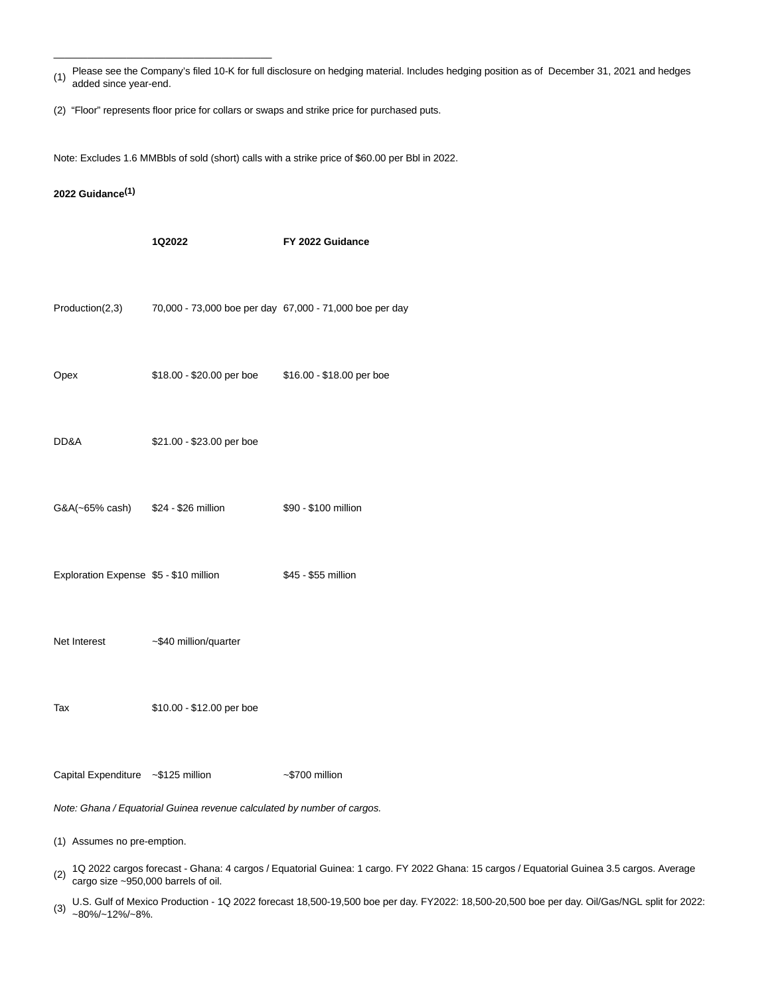(2) "Floor" represents floor price for collars or swaps and strike price for purchased puts.

\_\_\_\_\_\_\_\_\_\_\_\_\_\_\_\_\_\_\_\_\_\_\_\_\_\_\_\_\_\_\_\_\_\_\_\_\_\_\_

Note: Excludes 1.6 MMBbls of sold (short) calls with a strike price of \$60.00 per Bbl in 2022.

# **2022 Guidance(1)**

|                                        | 1Q2022                                                                  | FY 2022 Guidance     |
|----------------------------------------|-------------------------------------------------------------------------|----------------------|
|                                        | Production(2,3) 70,000 - 73,000 boe per day 67,000 - 71,000 boe per day |                      |
| Opex                                   | \$18.00 - \$20.00 per boe \$16.00 - \$18.00 per boe                     |                      |
| DD&A                                   | \$21.00 - \$23.00 per boe                                               |                      |
| G&A(~65% cash) \$24 - \$26 million     |                                                                         | \$90 - \$100 million |
| Exploration Expense \$5 - \$10 million |                                                                         | \$45 - \$55 million  |
| Net Interest                           | ~\$40 million/quarter                                                   |                      |
| Tax                                    | \$10.00 - \$12.00 per boe                                               |                      |
| Capital Expenditure ~\$125 million     |                                                                         | ~\$700 million       |

Note: Ghana / Equatorial Guinea revenue calculated by number of cargos.

(1) Assumes no pre-emption.

(2) 1Q 2022 cargos forecast - Ghana: 4 cargos / Equatorial Guinea: 1 cargo. FY 2022 Ghana: 15 cargos / Equatorial Guinea 3.5 cargos. Average cargo size ~950,000 barrels of oil.

(3) U.S. Gulf of Mexico Production - 1Q 2022 forecast 18,500-19,500 boe per day. FY2022: 18,500-20,500 boe per day. Oil/Gas/NGL split for 2022: ~80%/~12%/~8%.

<sup>(1)</sup> Please see the Company's filed 10-K for full disclosure on hedging material. Includes hedging position as of December 31, 2021 and hedges added cinco vear and added since year-end.